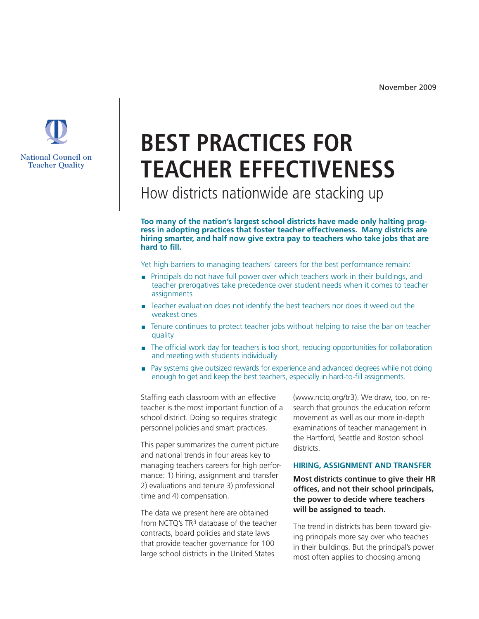

How districts nationwide are stacking up

**Too many of the nation's largest school districts have made only halting progress in adopting practices that foster teacher effectiveness. Many districts are hiring smarter, and half now give extra pay to teachers who take jobs that are hard to fill.** 

Yet high barriers to managing teachers' careers for the best performance remain:

- **Principals do not have full power over which teachers work in their buildings, and** teacher prerogatives take precedence over student needs when it comes to teacher assignments
- n Teacher evaluation does not identify the best teachers nor does it weed out the weakest ones
- Tenure continues to protect teacher jobs without helping to raise the bar on teacher quality
- The official work day for teachers is too short, reducing opportunities for collaboration and meeting with students individually
- <sup>n</sup> Pay systems give outsized rewards for experience and advanced degrees while not doing enough to get and keep the best teachers, especially in hard-to-fill assignments.

Staffing each classroom with an effective teacher is the most important function of a school district. Doing so requires strategic personnel policies and smart practices.

This paper summarizes the current picture and national trends in four areas key to managing teachers careers for high performance: 1) hiring, assignment and transfer 2) evaluations and tenure 3) professional time and 4) compensation.

The data we present here are obtained from NCTQ's TR3 database of the teacher contracts, board policies and state laws that provide teacher governance for 100 large school districts in the United States

(www.nctq.org/tr3). We draw, too, on research that grounds the education reform movement as well as our more in-depth examinations of teacher management in the Hartford, Seattle and Boston school districts.

## **HIRING, ASSIGNMENT AND TRANSFER**

**Most districts continue to give their HR offices, and not their school principals, the power to decide where teachers will be assigned to teach.** 

The trend in districts has been toward giving principals more say over who teaches in their buildings. But the principal's power most often applies to choosing among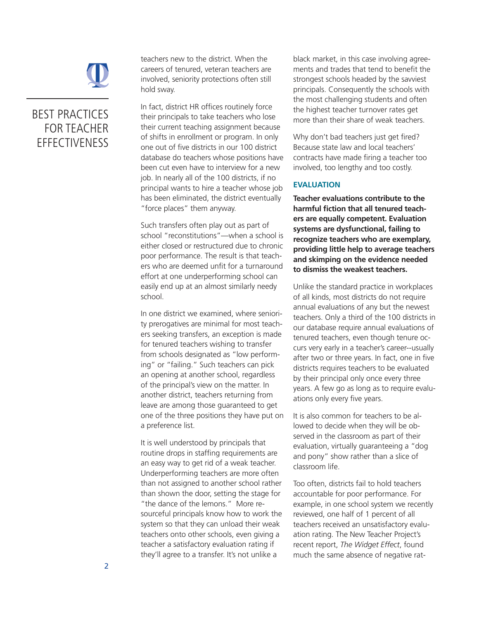

teachers new to the district. When the careers of tenured, veteran teachers are involved, seniority protections often still hold sway.

In fact, district HR offices routinely force their principals to take teachers who lose their current teaching assignment because of shifts in enrollment or program. In only one out of five districts in our 100 district database do teachers whose positions have been cut even have to interview for a new job. In nearly all of the 100 districts, if no principal wants to hire a teacher whose job has been eliminated, the district eventually "force places" them anyway.

Such transfers often play out as part of school "reconstitutions"—when a school is either closed or restructured due to chronic poor performance. The result is that teachers who are deemed unfit for a turnaround effort at one underperforming school can easily end up at an almost similarly needy school.

In one district we examined, where seniority prerogatives are minimal for most teachers seeking transfers, an exception is made for tenured teachers wishing to transfer from schools designated as "low performing" or "failing." Such teachers can pick an opening at another school, regardless of the principal's view on the matter. In another district, teachers returning from leave are among those guaranteed to get one of the three positions they have put on a preference list.

It is well understood by principals that routine drops in staffing requirements are an easy way to get rid of a weak teacher. Underperforming teachers are more often than not assigned to another school rather than shown the door, setting the stage for "the dance of the lemons." More resourceful principals know how to work the system so that they can unload their weak teachers onto other schools, even giving a teacher a satisfactory evaluation rating if they'll agree to a transfer. It's not unlike a

black market, in this case involving agreements and trades that tend to benefit the strongest schools headed by the savviest principals. Consequently the schools with the most challenging students and often the highest teacher turnover rates get more than their share of weak teachers.

Why don't bad teachers just get fired? Because state law and local teachers' contracts have made firing a teacher too involved, too lengthy and too costly.

## **EVALUATION**

**Teacher evaluations contribute to the harmful fiction that all tenured teachers are equally competent. Evaluation systems are dysfunctional, failing to recognize teachers who are exemplary, providing little help to average teachers and skimping on the evidence needed to dismiss the weakest teachers.** 

Unlike the standard practice in workplaces of all kinds, most districts do not require annual evaluations of any but the newest teachers. Only a third of the 100 districts in our database require annual evaluations of tenured teachers, even though tenure occurs very early in a teacher's career--usually after two or three years. In fact, one in five districts requires teachers to be evaluated by their principal only once every three years. A few go as long as to require evaluations only every five years.

It is also common for teachers to be allowed to decide when they will be observed in the classroom as part of their evaluation, virtually guaranteeing a "dog and pony" show rather than a slice of classroom life.

Too often, districts fail to hold teachers accountable for poor performance. For example, in one school system we recently reviewed, one half of 1 percent of all teachers received an unsatisfactory evaluation rating. The New Teacher Project's recent report, *The Widget Effect*, found much the same absence of negative rat-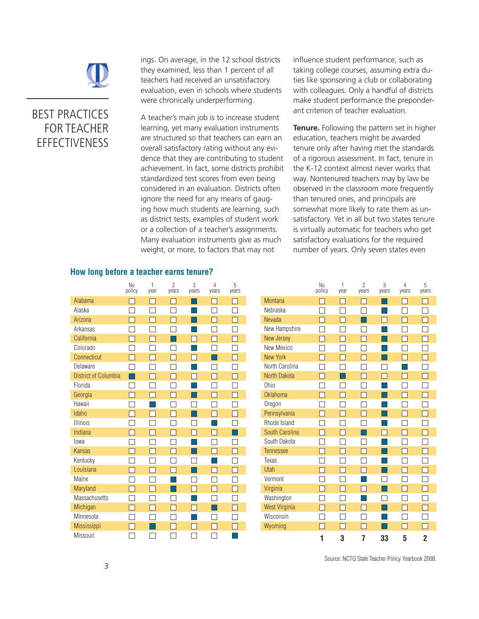

ings. On average, in the 12 school districts they examined, less than 1 percent of all teachers had received an unsatisfactory evaluation, even in schools where students were chronically underperforming.

A teacher's main job is to increase student learning, yet many evaluation instruments are structured so that teachers can earn an overall satisfactory rating without any evidence that they are contributing to student achievement. In fact, some districts prohibit standardized test scores from even being considered in an evaluation. Districts often ignore the need for any means of gauging how much students are learning, such as district tests, examples of student work or a collection of a teacher's assignments. Many evaluation instruments give as much weight, or more, to factors that may not

influence student performance, such as taking college courses, assuming extra duties like sponsoring a club or collaborating with colleagues. Only a handful of districts make student performance the preponderant criterion of teacher evaluation.

**Tenure.** Following the pattern set in higher education, teachers might be awarded tenure only after having met the standards of a rigorous assessment. In fact, tenure in the K-12 context almost never works that way. Nontenured teachers may by law be observed in the classroom more frequently than tenured ones, and principals are somewhat more likely to rate them as unsatisfactory. Yet in all but two states tenure is virtually automatic for teachers who get satisfactory evaluations for the required number of years. Only seven states even

## **How long before a teacher earns tenure?**

|                             | N <sub>0</sub><br>policy | $\mathbf{1}$<br>year | $\overline{c}$<br>years | 3<br>years | 4<br>years | 5<br>years   |
|-----------------------------|--------------------------|----------------------|-------------------------|------------|------------|--------------|
| Alabama                     |                          |                      |                         |            |            | $\mathbf{I}$ |
| Alaska                      |                          |                      | Ĵ                       |            |            |              |
| Arizona                     |                          |                      |                         |            |            | П            |
| Arkansas                    |                          |                      |                         |            |            | L            |
| California                  |                          |                      |                         |            |            | Г            |
| Colorado                    |                          |                      |                         |            |            | L            |
| Connecticut                 |                          |                      |                         |            |            |              |
| Delaware                    |                          |                      |                         |            |            | L            |
| <b>District of Columbia</b> |                          |                      | П                       |            | n.         | П            |
| Florida                     |                          |                      |                         |            |            |              |
| Georgia                     |                          |                      | L                       |            |            | E            |
| Hawaii                      |                          |                      |                         |            |            | Τ            |
| Idaho                       | I.                       | L.                   | г                       |            | - 1        | Г            |
| <b>Illinois</b>             |                          |                      |                         |            |            |              |
| Indiana                     |                          |                      | Τ                       |            |            |              |
| lowa                        |                          |                      |                         |            |            |              |
| <b>Kansas</b>               |                          |                      |                         |            |            | Г            |
| Kentucky                    |                          |                      | L                       |            |            | Г            |
| Louisiana                   |                          |                      |                         |            |            | Г            |
| Maine                       |                          |                      |                         |            |            |              |
| Maryland                    |                          |                      |                         |            |            |              |
| Massachusetts               |                          |                      |                         |            |            |              |
| Michigan                    | П                        | $\mathcal{L}$        | П                       |            |            | П            |
| Minnesota                   |                          |                      |                         |            |            |              |
| Mississippi                 |                          |                      |                         |            |            |              |
| Missouri                    |                          |                      |                         |            |            |              |

|                      | N <sub>0</sub><br>policy | 1<br>year | $\overline{2}$<br>vears | 3<br>vears | 4<br>vears | 5<br>vears |
|----------------------|--------------------------|-----------|-------------------------|------------|------------|------------|
| <b>Montana</b>       |                          |           |                         |            |            |            |
| Nebraska             |                          |           |                         |            |            |            |
| <b>Nevada</b>        |                          |           |                         |            |            |            |
| New Hampshire        |                          |           |                         |            |            |            |
| New Jersey           |                          |           |                         |            |            |            |
| New Mexico           |                          |           |                         |            |            |            |
| New York             |                          |           |                         |            |            |            |
| North Carolina       |                          |           |                         |            |            |            |
| North Dakota         |                          |           |                         |            |            |            |
| <b>Ohio</b>          |                          |           |                         |            |            |            |
| <b>Oklahoma</b>      |                          |           |                         |            |            |            |
| Oregon               |                          |           |                         |            |            |            |
| Pennsylvania         |                          |           |                         |            |            |            |
| Rhode Island         |                          |           |                         |            |            |            |
| South Carolina       |                          |           |                         |            |            |            |
| South Dakota         |                          |           |                         |            |            |            |
| <b>Tennessee</b>     |                          |           |                         |            |            |            |
| Texas                |                          |           |                         |            |            |            |
| Utah                 |                          |           |                         |            |            |            |
| Vermont              |                          |           |                         |            |            |            |
| Virginia             |                          |           |                         |            |            |            |
| Washington           |                          |           |                         |            |            |            |
| <b>West Virginia</b> |                          |           |                         |            |            |            |
| Wisconsin            |                          |           |                         |            |            |            |
| Wyoming              |                          |           |                         |            |            |            |
|                      | 1                        | 3         | 7                       | 33         | 5          | 2          |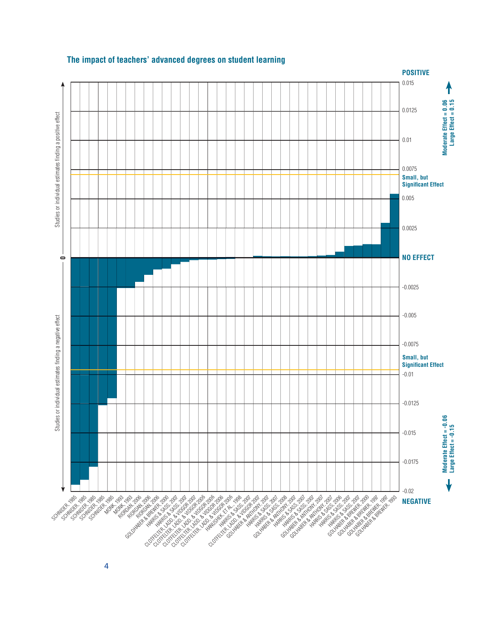

# **The impact of teachers' advanced degrees on student learning**

4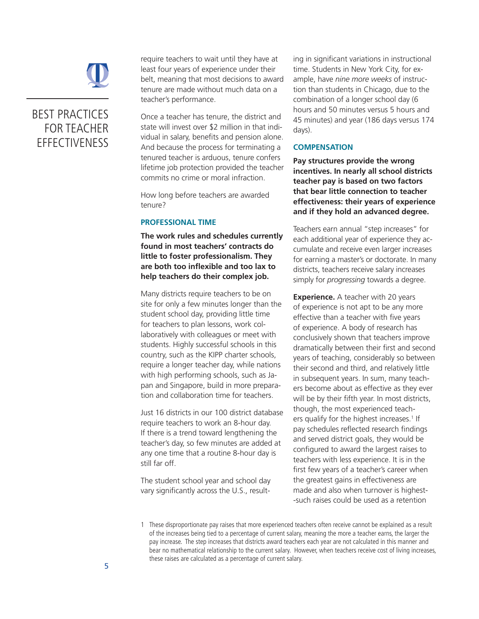

require teachers to wait until they have at least four years of experience under their belt, meaning that most decisions to award tenure are made without much data on a teacher's performance.

Once a teacher has tenure, the district and state will invest over \$2 million in that individual in salary, benefits and pension alone. And because the process for terminating a tenured teacher is arduous, tenure confers lifetime job protection provided the teacher commits no crime or moral infraction.

How long before teachers are awarded tenure?

## **PROFESSIONAL TIME**

**The work rules and schedules currently found in most teachers' contracts do little to foster professionalism. They are both too inflexible and too lax to help teachers do their complex job.** 

Many districts require teachers to be on site for only a few minutes longer than the student school day, providing little time for teachers to plan lessons, work collaboratively with colleagues or meet with students. Highly successful schools in this country, such as the KIPP charter schools, require a longer teacher day, while nations with high performing schools, such as Japan and Singapore, build in more preparation and collaboration time for teachers.

Just 16 districts in our 100 district database require teachers to work an 8-hour day. If there is a trend toward lengthening the teacher's day, so few minutes are added at any one time that a routine 8-hour day is still far off.

The student school year and school day vary significantly across the U.S., resulting in significant variations in instructional time. Students in New York City, for example, have *nine more weeks* of instruction than students in Chicago, due to the combination of a longer school day (6 hours and 50 minutes versus 5 hours and 45 minutes) and year (186 days versus 174 days).

#### **COMPENSATION**

**Pay structures provide the wrong incentives. In nearly all school districts teacher pay is based on two factors that bear little connection to teacher effectiveness: their years of experience and if they hold an advanced degree.** 

Teachers earn annual "step increases" for each additional year of experience they accumulate and receive even larger increases for earning a master's or doctorate. In many districts, teachers receive salary increases simply for *progressing* towards a degree.

**Experience.** A teacher with 20 years of experience is not apt to be any more effective than a teacher with five years of experience. A body of research has conclusively shown that teachers improve dramatically between their first and second years of teaching, considerably so between their second and third, and relatively little in subsequent years. In sum, many teachers become about as effective as they ever will be by their fifth year. In most districts, though, the most experienced teachers qualify for the highest increases.<sup>1</sup> If pay schedules reflected research findings and served district goals, they would be configured to award the largest raises to teachers with less experience. It is in the first few years of a teacher's career when the greatest gains in effectiveness are made and also when turnover is highest- -such raises could be used as a retention

<sup>1</sup> These disproportionate pay raises that more experienced teachers often receive cannot be explained as a result of the increases being tied to a percentage of current salary, meaning the more a teacher earns, the larger the pay increase. The step increases that districts award teachers each year are not calculated in this manner and bear no mathematical relationship to the current salary. However, when teachers receive cost of living increases, these raises are calculated as a percentage of current salary.